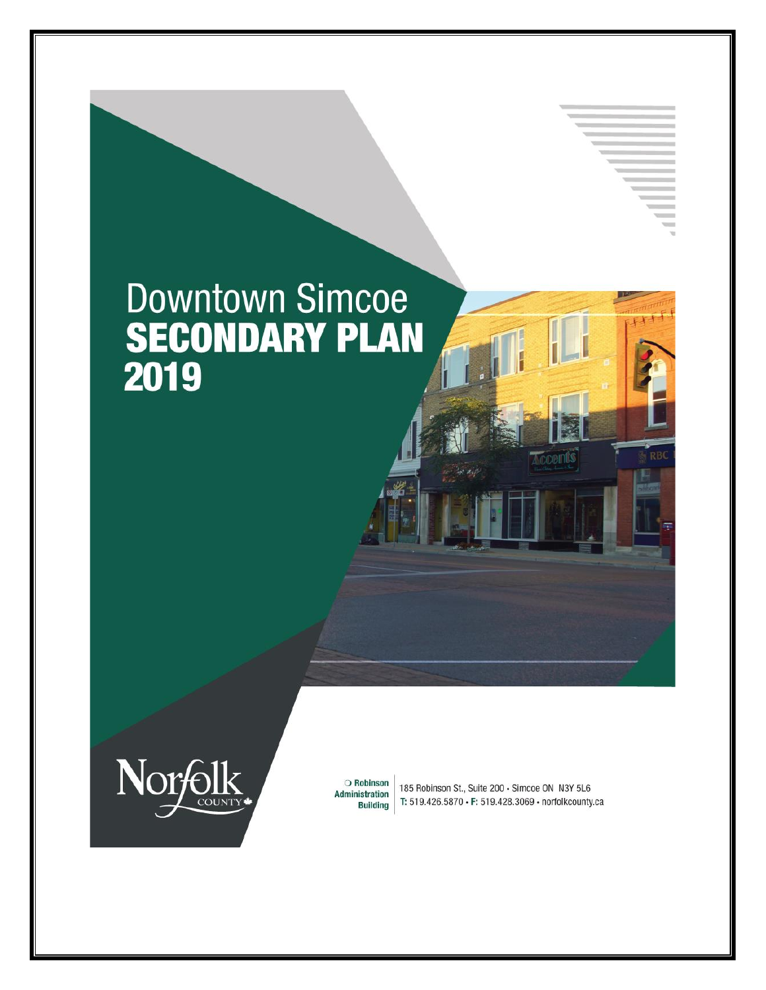# **Downtown Simcoe** SECONDARY PLAN



O Robinson Administration **Building** 

185 Robinson St., Suite 200 · Simcoe ON N3Y 5L6 T: 519.426.5870 · F: 519.428.3069 · norfolkcounty.ca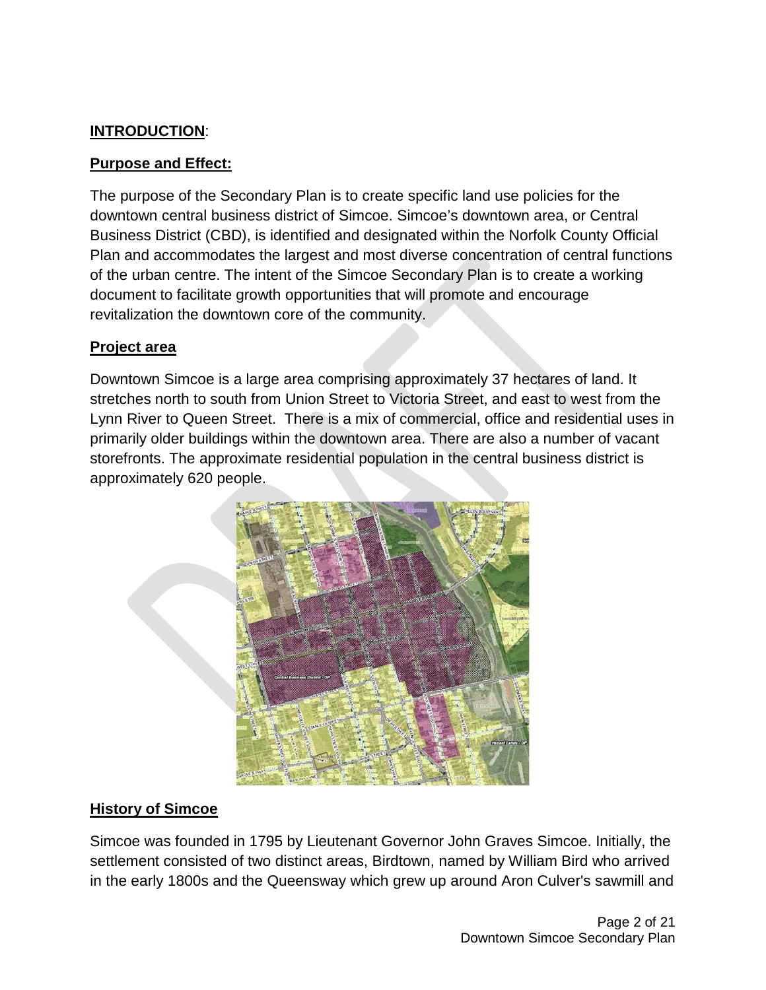#### **INTRODUCTION**:

#### **Purpose and Effect:**

The purpose of the Secondary Plan is to create specific land use policies for the downtown central business district of Simcoe. Simcoe's downtown area, or Central Business District (CBD), is identified and designated within the Norfolk County Official Plan and accommodates the largest and most diverse concentration of central functions of the urban centre. The intent of the Simcoe Secondary Plan is to create a working document to facilitate growth opportunities that will promote and encourage revitalization the downtown core of the community.

#### **Project area**

Downtown Simcoe is a large area comprising approximately 37 hectares of land. It stretches north to south from Union Street to Victoria Street, and east to west from the Lynn River to Queen Street. There is a mix of commercial, office and residential uses in primarily older buildings within the downtown area. There are also a number of vacant storefronts. The approximate residential population in the central business district is approximately 620 people.



## **History of Simcoe**

Simcoe was founded in 1795 by Lieutenant Governor John Graves Simcoe. Initially, the settlement consisted of two distinct areas, Birdtown, named by William Bird who arrived in the early 1800s and the Queensway which grew up around Aron Culver's sawmill and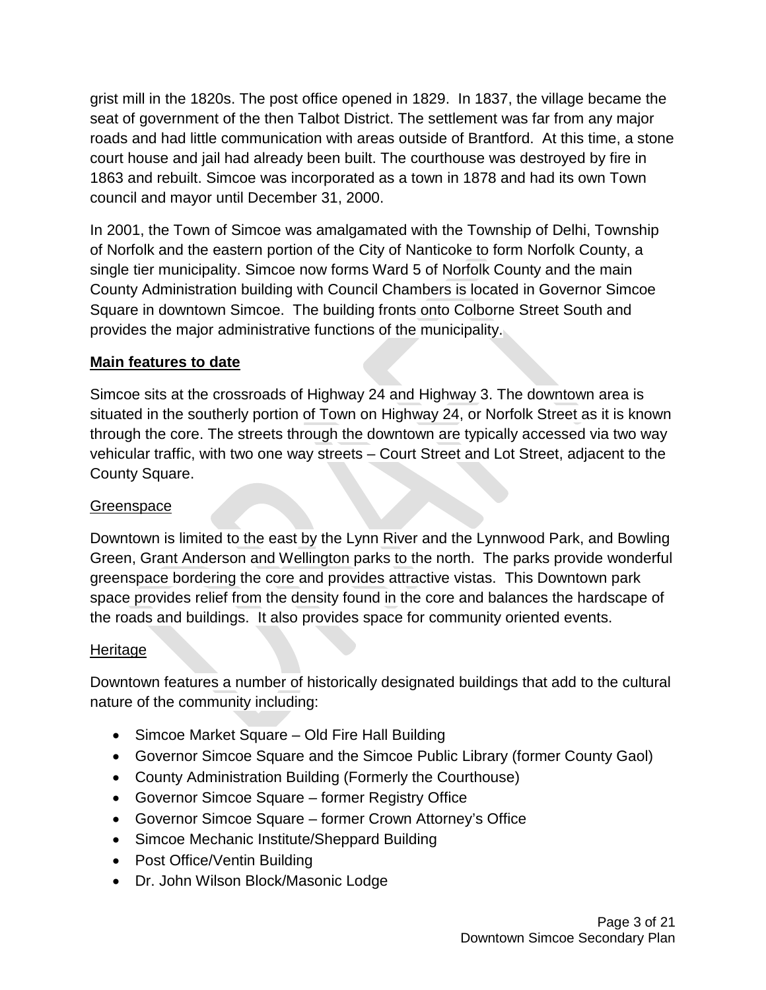grist mill in the 1820s. The post office opened in 1829. In 1837, the village became the seat of government of the then Talbot District. The settlement was far from any major roads and had little communication with areas outside of Brantford. At this time, a stone court house and jail had already been built. The courthouse was destroyed by fire in 1863 and rebuilt. Simcoe was incorporated as a town in 1878 and had its own Town council and mayor until December 31, 2000.

In 2001, the Town of Simcoe was amalgamated with the Township of Delhi, Township of Norfolk and the eastern portion of the City of Nanticoke to form Norfolk County, a single tier municipality. Simcoe now forms Ward 5 of Norfolk County and the main County Administration building with Council Chambers is located in Governor Simcoe Square in downtown Simcoe. The building fronts onto Colborne Street South and provides the major administrative functions of the municipality.

#### **Main features to date**

Simcoe sits at the crossroads of Highway 24 and Highway 3. The downtown area is situated in the southerly portion of Town on Highway 24, or Norfolk Street as it is known through the core. The streets through the downtown are typically accessed via two way vehicular traffic, with two one way streets – Court Street and Lot Street, adjacent to the County Square.

#### **Greenspace**

Downtown is limited to the east by the Lynn River and the Lynnwood Park, and Bowling Green, Grant Anderson and Wellington parks to the north. The parks provide wonderful greenspace bordering the core and provides attractive vistas. This Downtown park space provides relief from the density found in the core and balances the hardscape of the roads and buildings. It also provides space for community oriented events.

#### Heritage

Downtown features a number of historically designated buildings that add to the cultural nature of the community including:

- Simcoe Market Square Old Fire Hall Building
- Governor Simcoe Square and the Simcoe Public Library (former County Gaol)
- County Administration Building (Formerly the Courthouse)
- Governor Simcoe Square former Registry Office
- Governor Simcoe Square former Crown Attorney's Office
- Simcoe Mechanic Institute/Sheppard Building
- Post Office/Ventin Building
- Dr. John Wilson Block/Masonic Lodge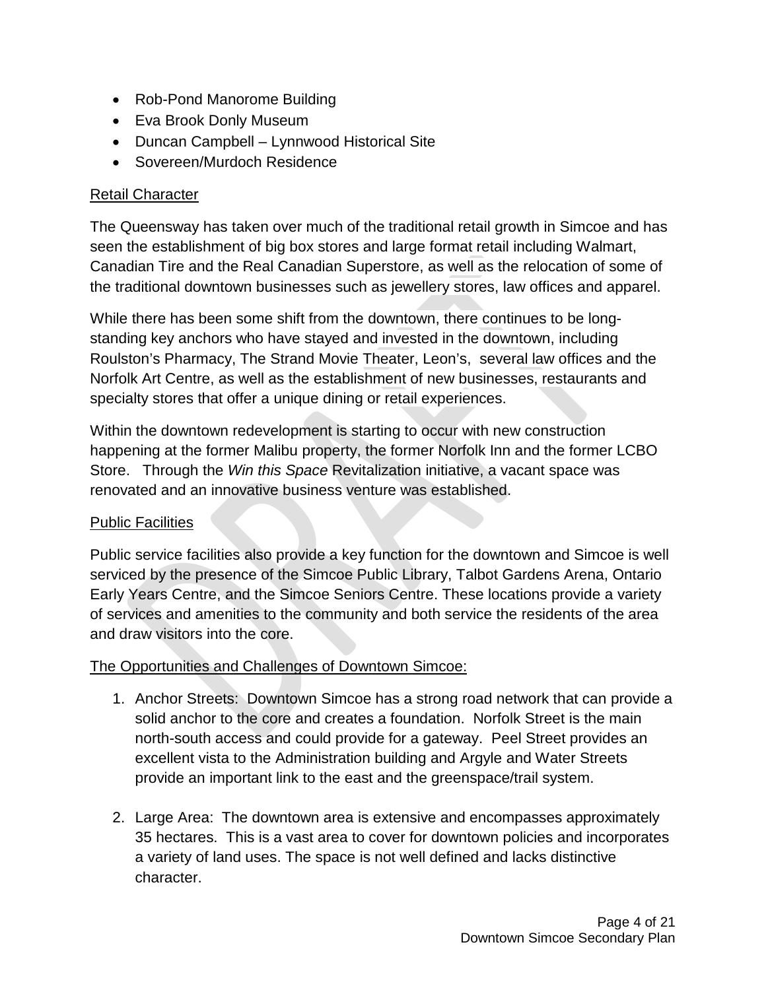- Rob-Pond Manorome Building
- Eva Brook Donly Museum
- Duncan Campbell Lynnwood Historical Site
- Sovereen/Murdoch Residence

#### Retail Character

The Queensway has taken over much of the traditional retail growth in Simcoe and has seen the establishment of big box stores and large format retail including Walmart, Canadian Tire and the Real Canadian Superstore, as well as the relocation of some of the traditional downtown businesses such as jewellery stores, law offices and apparel.

While there has been some shift from the downtown, there continues to be longstanding key anchors who have stayed and invested in the downtown, including Roulston's Pharmacy, The Strand Movie Theater, Leon's, several law offices and the Norfolk Art Centre, as well as the establishment of new businesses, restaurants and specialty stores that offer a unique dining or retail experiences.

Within the downtown redevelopment is starting to occur with new construction happening at the former Malibu property, the former Norfolk Inn and the former LCBO Store. Through the *Win this Space* Revitalization initiative, a vacant space was renovated and an innovative business venture was established.

#### Public Facilities

Public service facilities also provide a key function for the downtown and Simcoe is well serviced by the presence of the Simcoe Public Library, Talbot Gardens Arena, Ontario Early Years Centre, and the Simcoe Seniors Centre. These locations provide a variety of services and amenities to the community and both service the residents of the area and draw visitors into the core.

#### The Opportunities and Challenges of Downtown Simcoe:

- 1. Anchor Streets: Downtown Simcoe has a strong road network that can provide a solid anchor to the core and creates a foundation. Norfolk Street is the main north-south access and could provide for a gateway. Peel Street provides an excellent vista to the Administration building and Argyle and Water Streets provide an important link to the east and the greenspace/trail system.
- 2. Large Area: The downtown area is extensive and encompasses approximately 35 hectares. This is a vast area to cover for downtown policies and incorporates a variety of land uses. The space is not well defined and lacks distinctive character.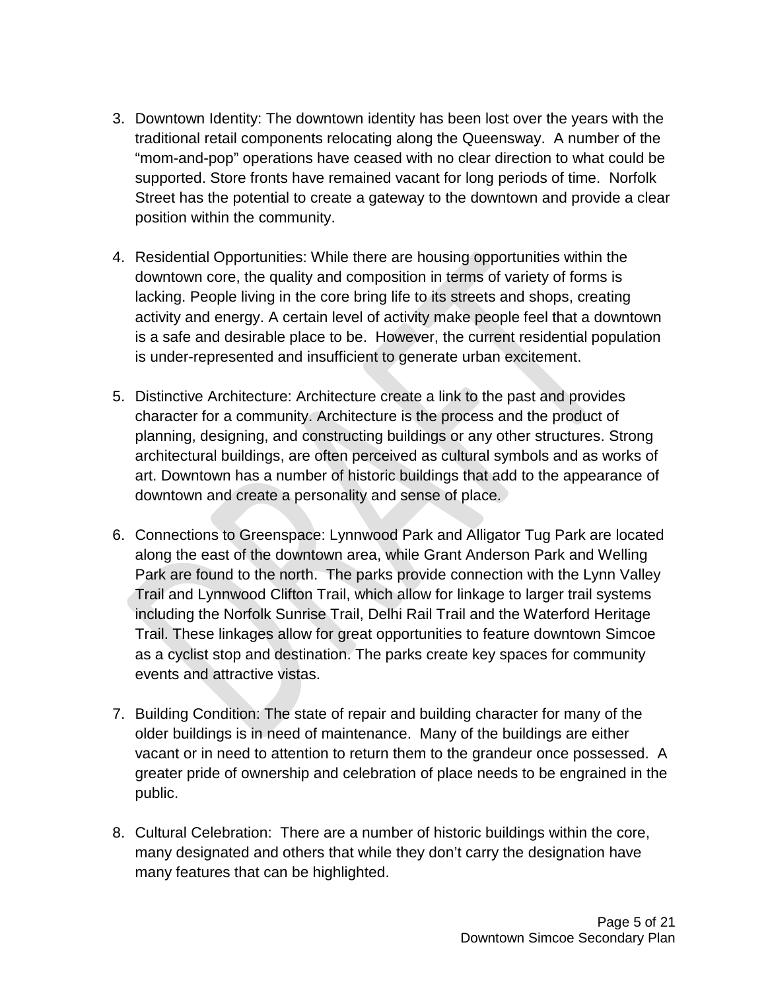- 3. Downtown Identity: The downtown identity has been lost over the years with the traditional retail components relocating along the Queensway. A number of the "mom-and-pop" operations have ceased with no clear direction to what could be supported. Store fronts have remained vacant for long periods of time. Norfolk Street has the potential to create a gateway to the downtown and provide a clear position within the community.
- 4. Residential Opportunities: While there are housing opportunities within the downtown core, the quality and composition in terms of variety of forms is lacking. People living in the core bring life to its streets and shops, creating activity and energy. A certain level of activity make people feel that a downtown is a safe and desirable place to be. However, the current residential population is under-represented and insufficient to generate urban excitement.
- 5. Distinctive Architecture: Architecture create a link to the past and provides character for a community. Architecture is the process and the product of planning, designing, and constructing buildings or any other structures. Strong architectural buildings, are often perceived as cultural symbols and as works of art. Downtown has a number of historic buildings that add to the appearance of downtown and create a personality and sense of place.
- 6. Connections to Greenspace: Lynnwood Park and Alligator Tug Park are located along the east of the downtown area, while Grant Anderson Park and Welling Park are found to the north. The parks provide connection with the Lynn Valley Trail and Lynnwood Clifton Trail, which allow for linkage to larger trail systems including the Norfolk Sunrise Trail, Delhi Rail Trail and the Waterford Heritage Trail. These linkages allow for great opportunities to feature downtown Simcoe as a cyclist stop and destination. The parks create key spaces for community events and attractive vistas.
- 7. Building Condition: The state of repair and building character for many of the older buildings is in need of maintenance. Many of the buildings are either vacant or in need to attention to return them to the grandeur once possessed. A greater pride of ownership and celebration of place needs to be engrained in the public.
- 8. Cultural Celebration: There are a number of historic buildings within the core, many designated and others that while they don't carry the designation have many features that can be highlighted.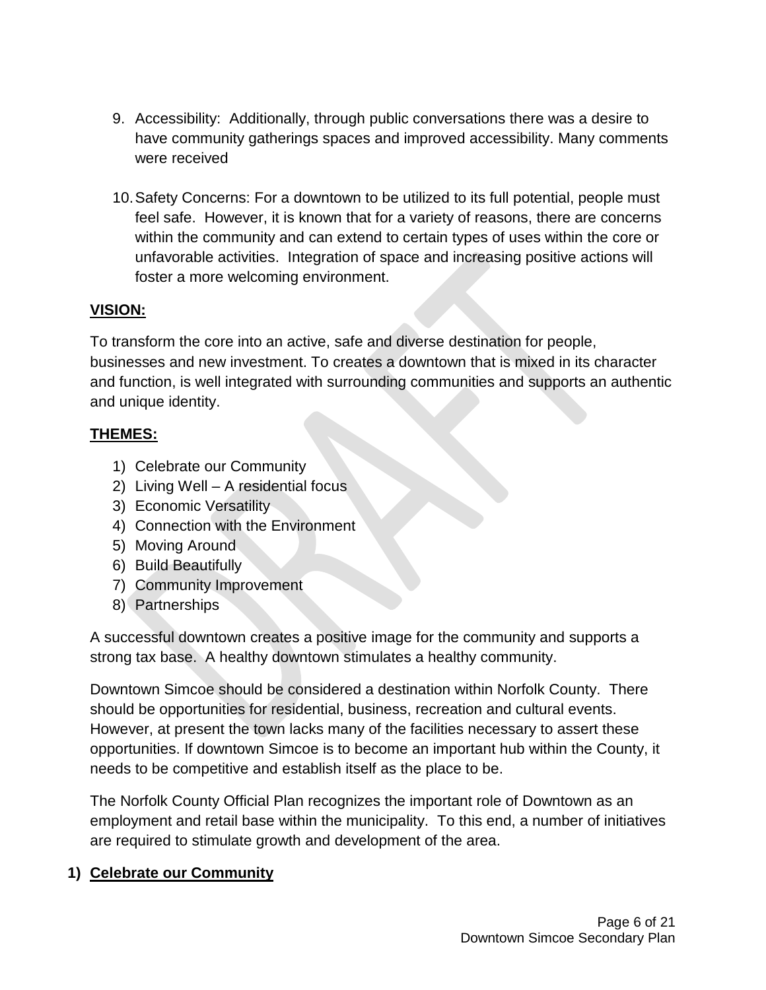- 9. Accessibility: Additionally, through public conversations there was a desire to have community gatherings spaces and improved accessibility. Many comments were received
- 10.Safety Concerns: For a downtown to be utilized to its full potential, people must feel safe. However, it is known that for a variety of reasons, there are concerns within the community and can extend to certain types of uses within the core or unfavorable activities. Integration of space and increasing positive actions will foster a more welcoming environment.

#### **VISION:**

To transform the core into an active, safe and diverse destination for people, businesses and new investment. To creates a downtown that is mixed in its character and function, is well integrated with surrounding communities and supports an authentic and unique identity.

#### **THEMES:**

- 1) Celebrate our Community
- 2) Living Well A residential focus
- 3) Economic Versatility
- 4) Connection with the Environment
- 5) Moving Around
- 6) Build Beautifully
- 7) Community Improvement
- 8) Partnerships

A successful downtown creates a positive image for the community and supports a strong tax base. A healthy downtown stimulates a healthy community.

Downtown Simcoe should be considered a destination within Norfolk County. There should be opportunities for residential, business, recreation and cultural events. However, at present the town lacks many of the facilities necessary to assert these opportunities. If downtown Simcoe is to become an important hub within the County, it needs to be competitive and establish itself as the place to be.

The Norfolk County Official Plan recognizes the important role of Downtown as an employment and retail base within the municipality. To this end, a number of initiatives are required to stimulate growth and development of the area.

## **1) Celebrate our Community**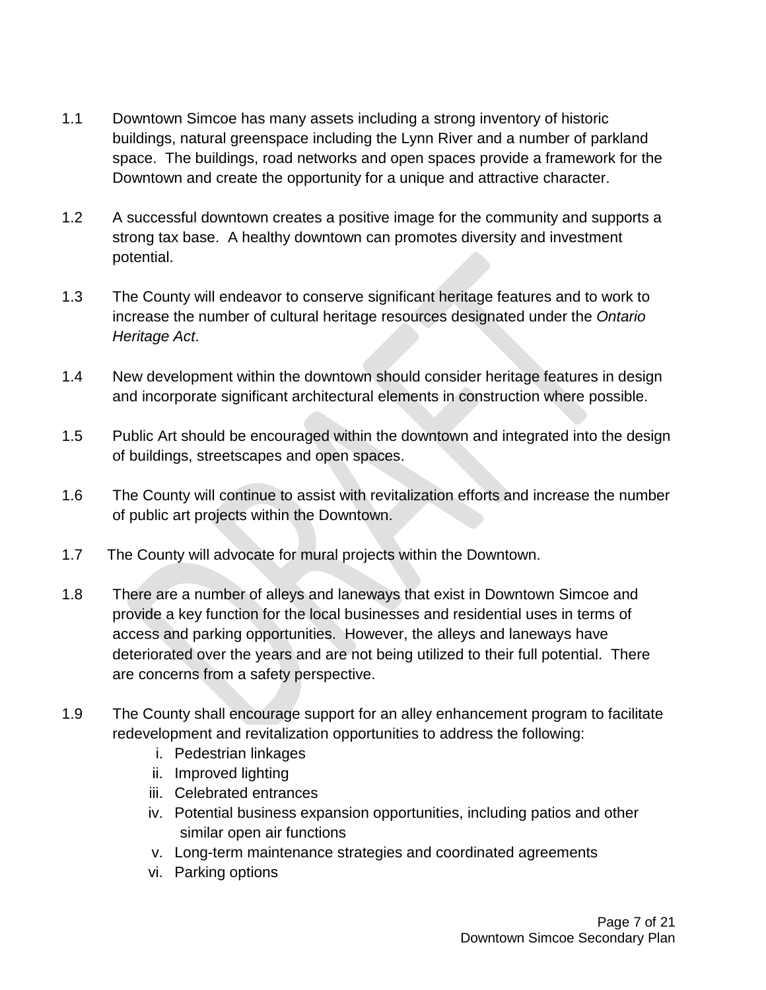- 1.1 Downtown Simcoe has many assets including a strong inventory of historic buildings, natural greenspace including the Lynn River and a number of parkland space. The buildings, road networks and open spaces provide a framework for the Downtown and create the opportunity for a unique and attractive character.
- 1.2 A successful downtown creates a positive image for the community and supports a strong tax base. A healthy downtown can promotes diversity and investment potential.
- 1.3 The County will endeavor to conserve significant heritage features and to work to increase the number of cultural heritage resources designated under the *Ontario Heritage Act*.
- 1.4 New development within the downtown should consider heritage features in design and incorporate significant architectural elements in construction where possible.
- 1.5 Public Art should be encouraged within the downtown and integrated into the design of buildings, streetscapes and open spaces.
- 1.6 The County will continue to assist with revitalization efforts and increase the number of public art projects within the Downtown.
- 1.7 The County will advocate for mural projects within the Downtown.
- 1.8 There are a number of alleys and laneways that exist in Downtown Simcoe and provide a key function for the local businesses and residential uses in terms of access and parking opportunities. However, the alleys and laneways have deteriorated over the years and are not being utilized to their full potential. There are concerns from a safety perspective.
- 1.9 The County shall encourage support for an alley enhancement program to facilitate redevelopment and revitalization opportunities to address the following:
	- i. Pedestrian linkages
	- ii. Improved lighting
	- iii. Celebrated entrances
	- iv. Potential business expansion opportunities, including patios and other similar open air functions
	- v. Long-term maintenance strategies and coordinated agreements
	- vi. Parking options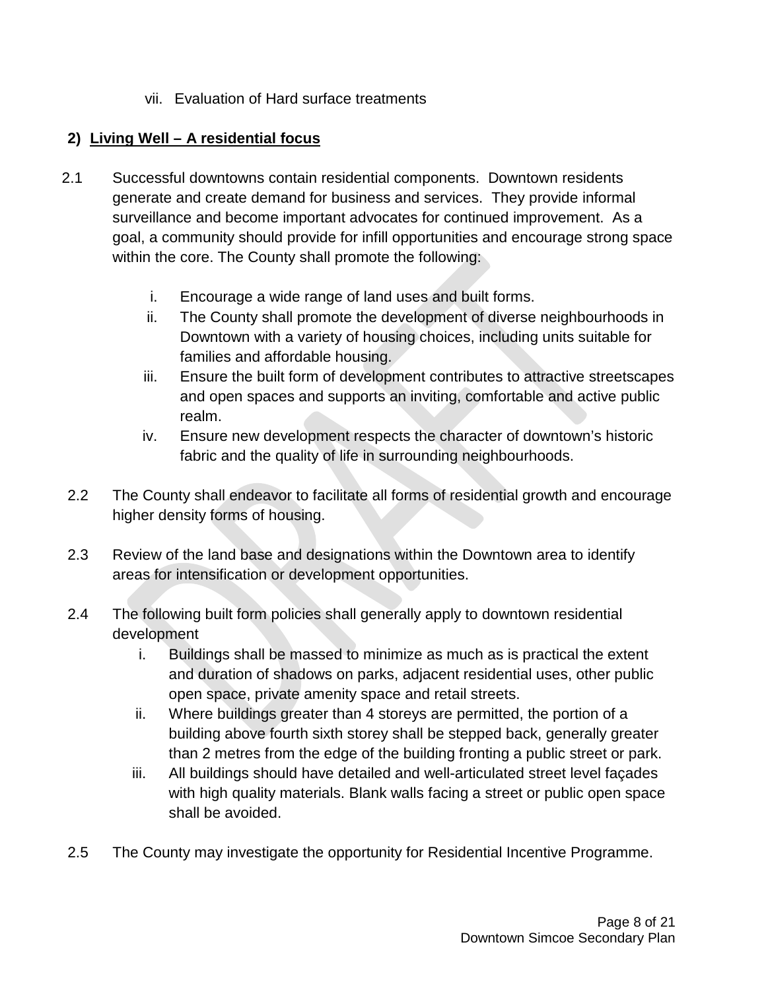vii. Evaluation of Hard surface treatments

## **2) Living Well – A residential focus**

- 2.1 Successful downtowns contain residential components. Downtown residents generate and create demand for business and services. They provide informal surveillance and become important advocates for continued improvement. As a goal, a community should provide for infill opportunities and encourage strong space within the core. The County shall promote the following:
	- i. Encourage a wide range of land uses and built forms.
	- ii. The County shall promote the development of diverse neighbourhoods in Downtown with a variety of housing choices, including units suitable for families and affordable housing.
	- iii. Ensure the built form of development contributes to attractive streetscapes and open spaces and supports an inviting, comfortable and active public realm.
	- iv. Ensure new development respects the character of downtown's historic fabric and the quality of life in surrounding neighbourhoods.
- 2.2 The County shall endeavor to facilitate all forms of residential growth and encourage higher density forms of housing.
- 2.3 Review of the land base and designations within the Downtown area to identify areas for intensification or development opportunities.
- 2.4 The following built form policies shall generally apply to downtown residential development
	- i. Buildings shall be massed to minimize as much as is practical the extent and duration of shadows on parks, adjacent residential uses, other public open space, private amenity space and retail streets.
	- ii. Where buildings greater than 4 storeys are permitted, the portion of a building above fourth sixth storey shall be stepped back, generally greater than 2 metres from the edge of the building fronting a public street or park.
	- iii. All buildings should have detailed and well-articulated street level façades with high quality materials. Blank walls facing a street or public open space shall be avoided.
- 2.5 The County may investigate the opportunity for Residential Incentive Programme.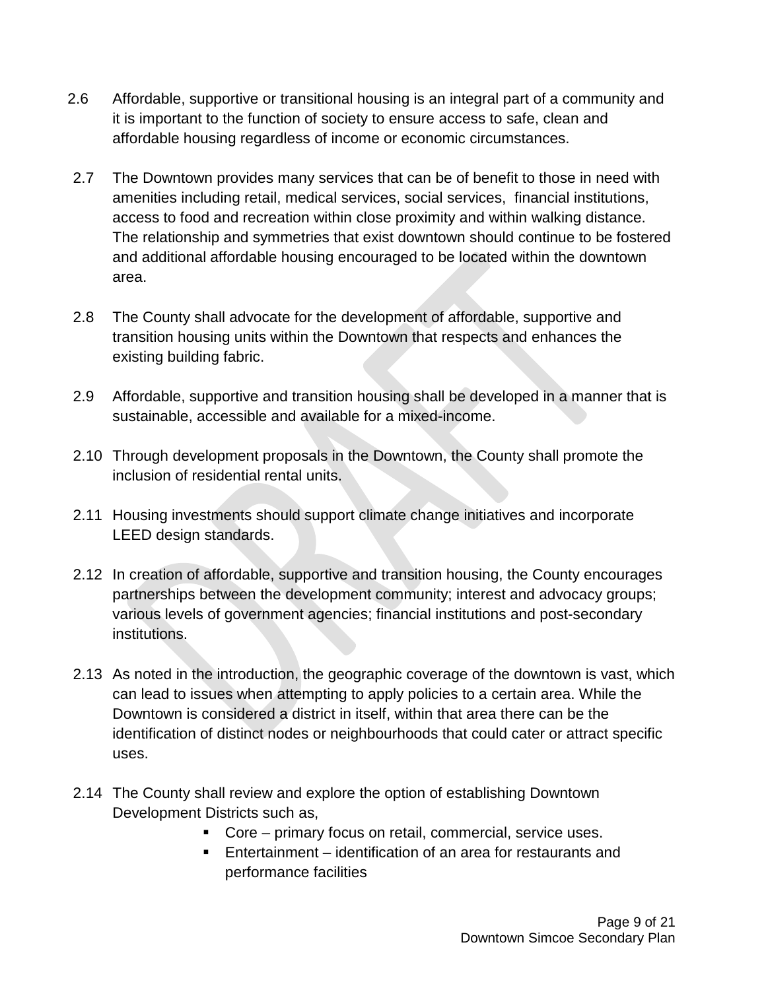- 2.6 Affordable, supportive or transitional housing is an integral part of a community and it is important to the function of society to ensure access to safe, clean and affordable housing regardless of income or economic circumstances.
- 2.7 The Downtown provides many services that can be of benefit to those in need with amenities including retail, medical services, social services, financial institutions, access to food and recreation within close proximity and within walking distance. The relationship and symmetries that exist downtown should continue to be fostered and additional affordable housing encouraged to be located within the downtown area.
- 2.8 The County shall advocate for the development of affordable, supportive and transition housing units within the Downtown that respects and enhances the existing building fabric.
- 2.9 Affordable, supportive and transition housing shall be developed in a manner that is sustainable, accessible and available for a mixed-income.
- 2.10 Through development proposals in the Downtown, the County shall promote the inclusion of residential rental units.
- 2.11 Housing investments should support climate change initiatives and incorporate LEED design standards.
- 2.12 In creation of affordable, supportive and transition housing, the County encourages partnerships between the development community; interest and advocacy groups; various levels of government agencies; financial institutions and post-secondary institutions.
- 2.13 As noted in the introduction, the geographic coverage of the downtown is vast, which can lead to issues when attempting to apply policies to a certain area. While the Downtown is considered a district in itself, within that area there can be the identification of distinct nodes or neighbourhoods that could cater or attract specific uses.
- 2.14 The County shall review and explore the option of establishing Downtown Development Districts such as,
	- Core primary focus on retail, commercial, service uses.
	- Entertainment identification of an area for restaurants and performance facilities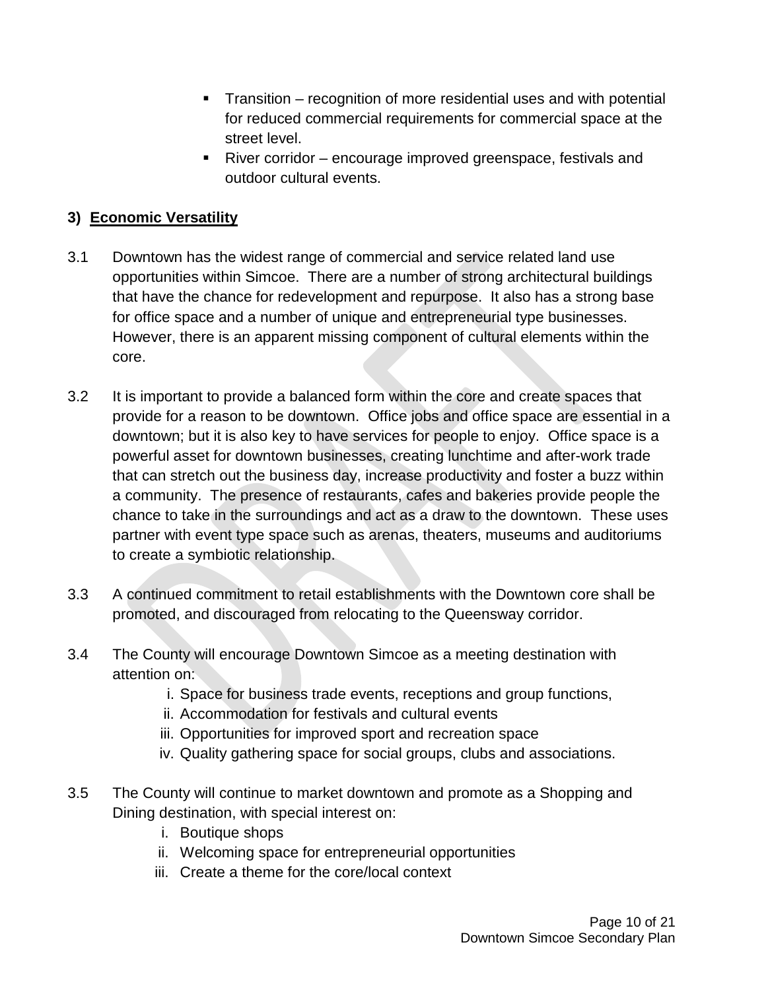- Transition recognition of more residential uses and with potential for reduced commercial requirements for commercial space at the street level.
- River corridor encourage improved greenspace, festivals and outdoor cultural events.

#### **3) Economic Versatility**

- 3.1 Downtown has the widest range of commercial and service related land use opportunities within Simcoe. There are a number of strong architectural buildings that have the chance for redevelopment and repurpose. It also has a strong base for office space and a number of unique and entrepreneurial type businesses. However, there is an apparent missing component of cultural elements within the core.
- 3.2 It is important to provide a balanced form within the core and create spaces that provide for a reason to be downtown. Office jobs and office space are essential in a downtown; but it is also key to have services for people to enjoy. Office space is a powerful asset for downtown businesses, creating lunchtime and after-work trade that can stretch out the business day, increase productivity and foster a buzz within a community. The presence of restaurants, cafes and bakeries provide people the chance to take in the surroundings and act as a draw to the downtown. These uses partner with event type space such as arenas, theaters, museums and auditoriums to create a symbiotic relationship.
- 3.3 A continued commitment to retail establishments with the Downtown core shall be promoted, and discouraged from relocating to the Queensway corridor.
- 3.4 The County will encourage Downtown Simcoe as a meeting destination with attention on:
	- i. Space for business trade events, receptions and group functions,
	- ii. Accommodation for festivals and cultural events
	- iii. Opportunities for improved sport and recreation space
	- iv. Quality gathering space for social groups, clubs and associations.
- 3.5 The County will continue to market downtown and promote as a Shopping and Dining destination, with special interest on:
	- i. Boutique shops
	- ii. Welcoming space for entrepreneurial opportunities
	- iii. Create a theme for the core/local context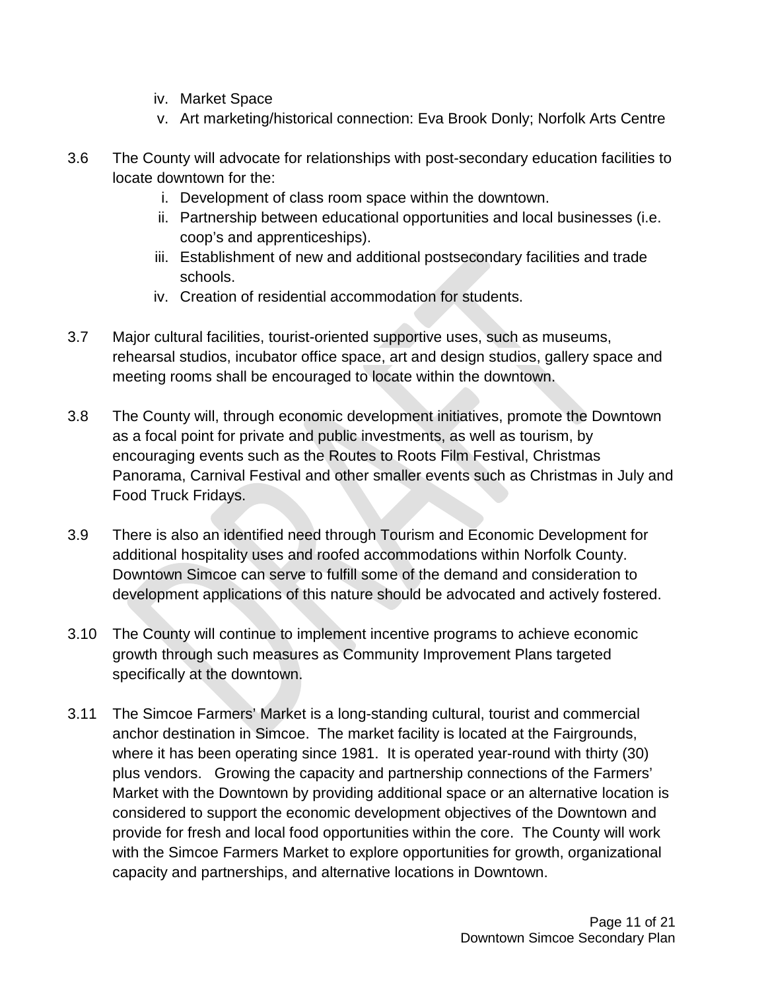- iv. Market Space
- v. Art marketing/historical connection: Eva Brook Donly; Norfolk Arts Centre
- 3.6 The County will advocate for relationships with post-secondary education facilities to locate downtown for the:
	- i. Development of class room space within the downtown.
	- ii. Partnership between educational opportunities and local businesses (i.e. coop's and apprenticeships).
	- iii. Establishment of new and additional postsecondary facilities and trade schools.
	- iv. Creation of residential accommodation for students.
- 3.7 Major cultural facilities, tourist-oriented supportive uses, such as museums, rehearsal studios, incubator office space, art and design studios, gallery space and meeting rooms shall be encouraged to locate within the downtown.
- 3.8 The County will, through economic development initiatives, promote the Downtown as a focal point for private and public investments, as well as tourism, by encouraging events such as the Routes to Roots Film Festival, Christmas Panorama, Carnival Festival and other smaller events such as Christmas in July and Food Truck Fridays.
- 3.9 There is also an identified need through Tourism and Economic Development for additional hospitality uses and roofed accommodations within Norfolk County. Downtown Simcoe can serve to fulfill some of the demand and consideration to development applications of this nature should be advocated and actively fostered.
- 3.10 The County will continue to implement incentive programs to achieve economic growth through such measures as Community Improvement Plans targeted specifically at the downtown.
- 3.11 The Simcoe Farmers' Market is a long-standing cultural, tourist and commercial anchor destination in Simcoe. The market facility is located at the Fairgrounds, where it has been operating since 1981. It is operated year-round with thirty (30) plus vendors. Growing the capacity and partnership connections of the Farmers' Market with the Downtown by providing additional space or an alternative location is considered to support the economic development objectives of the Downtown and provide for fresh and local food opportunities within the core. The County will work with the Simcoe Farmers Market to explore opportunities for growth, organizational capacity and partnerships, and alternative locations in Downtown.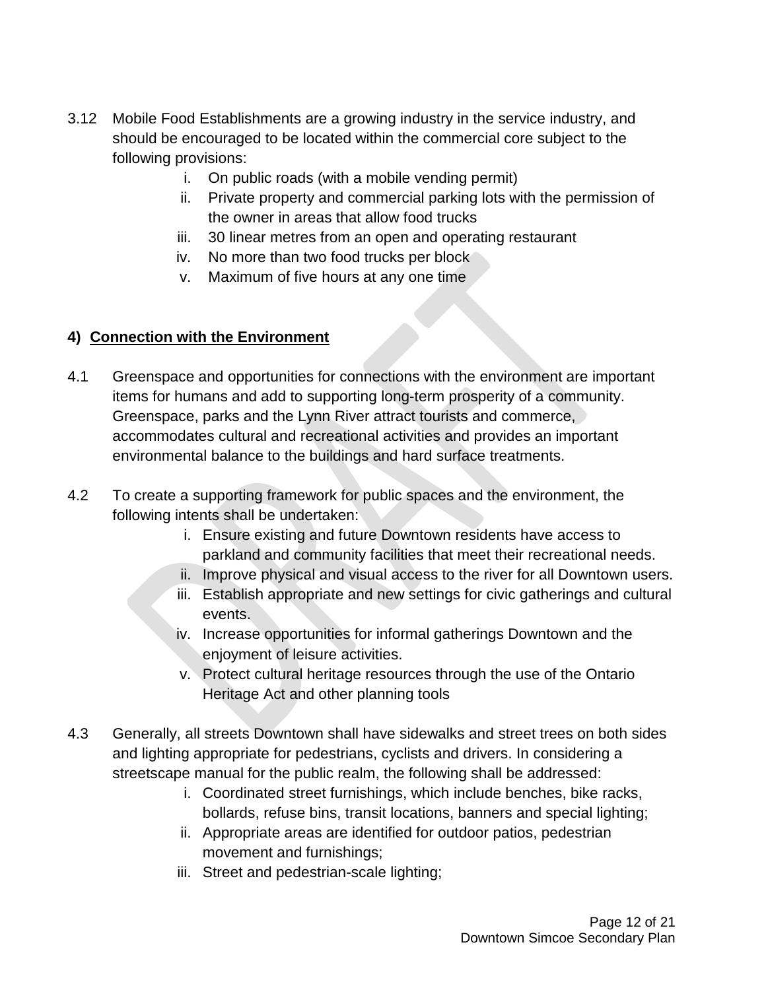- 3.12 Mobile Food Establishments are a growing industry in the service industry, and should be encouraged to be located within the commercial core subject to the following provisions:
	- i. On public roads (with a mobile vending permit)
	- ii. Private property and commercial parking lots with the permission of the owner in areas that allow food trucks
	- iii. 30 linear metres from an open and operating restaurant
	- iv. No more than two food trucks per block
	- v. Maximum of five hours at any one time

#### **4) Connection with the Environment**

- 4.1 Greenspace and opportunities for connections with the environment are important items for humans and add to supporting long-term prosperity of a community. Greenspace, parks and the Lynn River attract tourists and commerce, accommodates cultural and recreational activities and provides an important environmental balance to the buildings and hard surface treatments.
- 4.2 To create a supporting framework for public spaces and the environment, the following intents shall be undertaken:
	- i. Ensure existing and future Downtown residents have access to parkland and community facilities that meet their recreational needs.
	- ii. Improve physical and visual access to the river for all Downtown users.
	- iii. Establish appropriate and new settings for civic gatherings and cultural events.
	- iv. Increase opportunities for informal gatherings Downtown and the enjoyment of leisure activities.
	- v. Protect cultural heritage resources through the use of the Ontario Heritage Act and other planning tools
- 4.3 Generally, all streets Downtown shall have sidewalks and street trees on both sides and lighting appropriate for pedestrians, cyclists and drivers. In considering a streetscape manual for the public realm, the following shall be addressed:
	- i. Coordinated street furnishings, which include benches, bike racks, bollards, refuse bins, transit locations, banners and special lighting;
	- ii. Appropriate areas are identified for outdoor patios, pedestrian movement and furnishings;
	- iii. Street and pedestrian-scale lighting;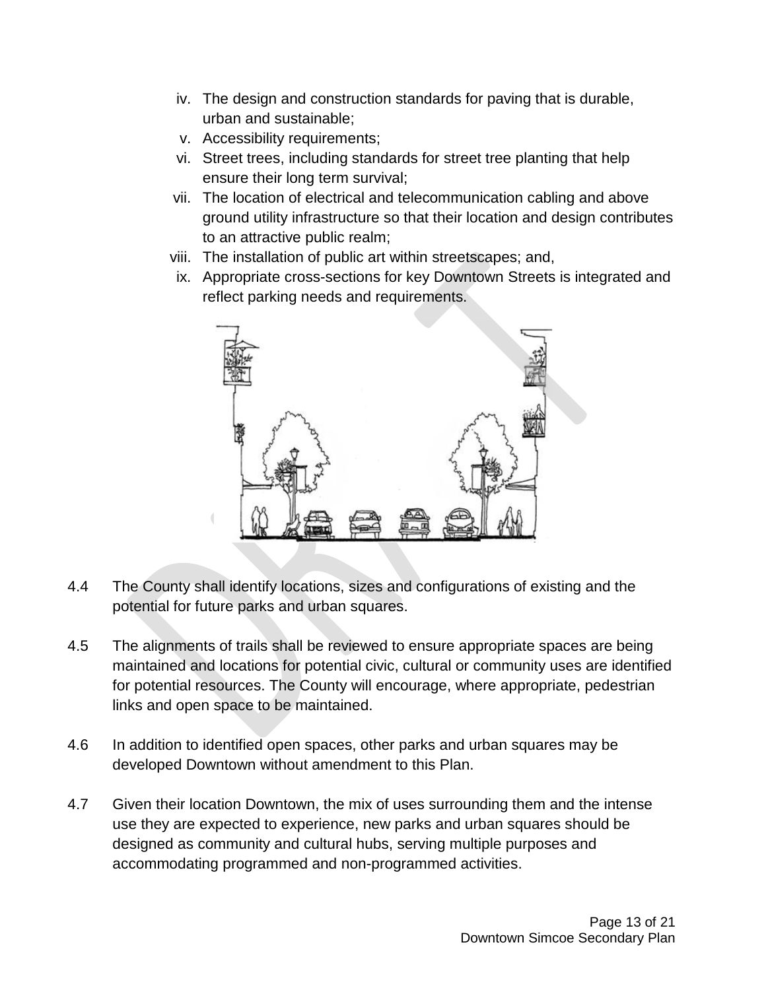- iv. The design and construction standards for paving that is durable, urban and sustainable;
- v. Accessibility requirements;
- vi. Street trees, including standards for street tree planting that help ensure their long term survival;
- vii. The location of electrical and telecommunication cabling and above ground utility infrastructure so that their location and design contributes to an attractive public realm;
- viii. The installation of public art within streetscapes; and,
- ix. Appropriate cross-sections for key Downtown Streets is integrated and reflect parking needs and requirements.



- 4.4 The County shall identify locations, sizes and configurations of existing and the potential for future parks and urban squares.
- 4.5 The alignments of trails shall be reviewed to ensure appropriate spaces are being maintained and locations for potential civic, cultural or community uses are identified for potential resources. The County will encourage, where appropriate, pedestrian links and open space to be maintained.
- 4.6 In addition to identified open spaces, other parks and urban squares may be developed Downtown without amendment to this Plan.
- 4.7 Given their location Downtown, the mix of uses surrounding them and the intense use they are expected to experience, new parks and urban squares should be designed as community and cultural hubs, serving multiple purposes and accommodating programmed and non-programmed activities.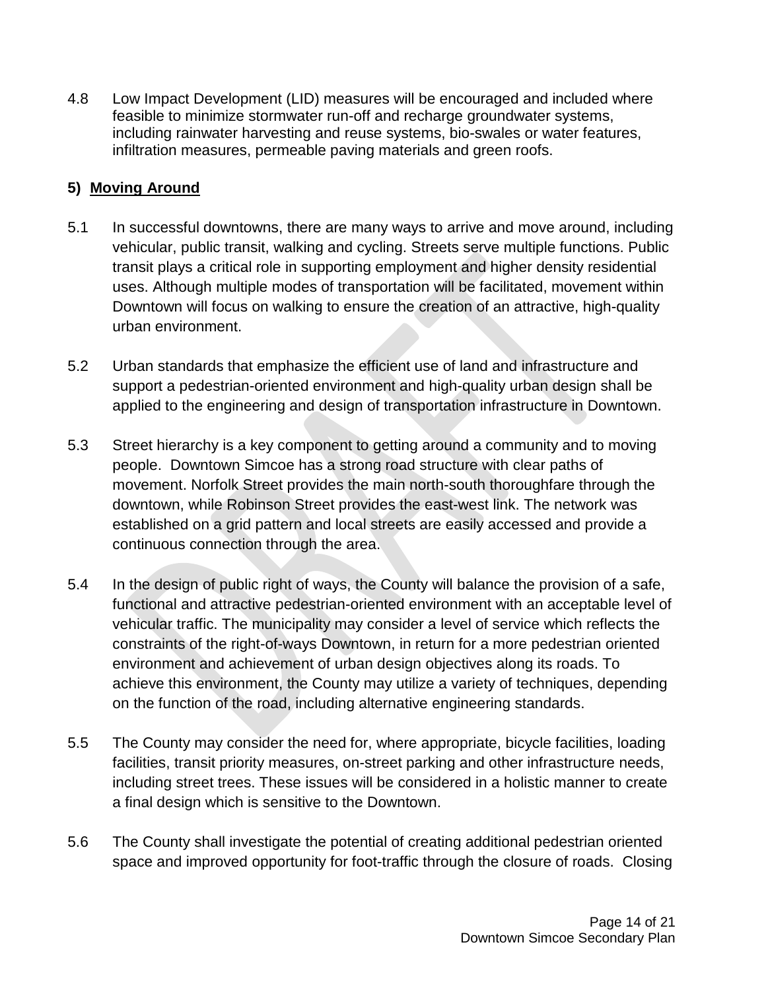4.8 Low Impact Development (LID) measures will be encouraged and included where feasible to minimize stormwater run-off and recharge groundwater systems, including rainwater harvesting and reuse systems, bio-swales or water features, infiltration measures, permeable paving materials and green roofs.

## **5) Moving Around**

- 5.1 In successful downtowns, there are many ways to arrive and move around, including vehicular, public transit, walking and cycling. Streets serve multiple functions. Public transit plays a critical role in supporting employment and higher density residential uses. Although multiple modes of transportation will be facilitated, movement within Downtown will focus on walking to ensure the creation of an attractive, high-quality urban environment.
- 5.2 Urban standards that emphasize the efficient use of land and infrastructure and support a pedestrian-oriented environment and high-quality urban design shall be applied to the engineering and design of transportation infrastructure in Downtown.
- 5.3 Street hierarchy is a key component to getting around a community and to moving people. Downtown Simcoe has a strong road structure with clear paths of movement. Norfolk Street provides the main north-south thoroughfare through the downtown, while Robinson Street provides the east-west link. The network was established on a grid pattern and local streets are easily accessed and provide a continuous connection through the area.
- 5.4 In the design of public right of ways, the County will balance the provision of a safe, functional and attractive pedestrian-oriented environment with an acceptable level of vehicular traffic. The municipality may consider a level of service which reflects the constraints of the right-of-ways Downtown, in return for a more pedestrian oriented environment and achievement of urban design objectives along its roads. To achieve this environment, the County may utilize a variety of techniques, depending on the function of the road, including alternative engineering standards.
- 5.5 The County may consider the need for, where appropriate, bicycle facilities, loading facilities, transit priority measures, on-street parking and other infrastructure needs, including street trees. These issues will be considered in a holistic manner to create a final design which is sensitive to the Downtown.
- 5.6 The County shall investigate the potential of creating additional pedestrian oriented space and improved opportunity for foot-traffic through the closure of roads. Closing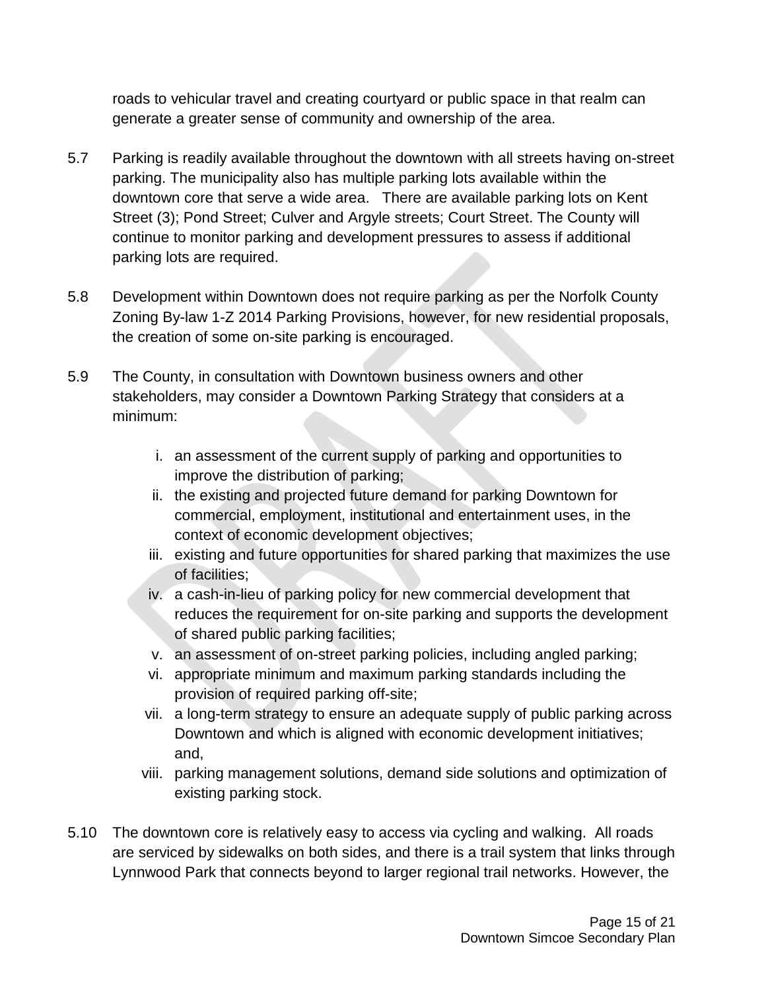roads to vehicular travel and creating courtyard or public space in that realm can generate a greater sense of community and ownership of the area.

- 5.7 Parking is readily available throughout the downtown with all streets having on-street parking. The municipality also has multiple parking lots available within the downtown core that serve a wide area. There are available parking lots on Kent Street (3); Pond Street; Culver and Argyle streets; Court Street. The County will continue to monitor parking and development pressures to assess if additional parking lots are required.
- 5.8 Development within Downtown does not require parking as per the Norfolk County Zoning By-law 1-Z 2014 Parking Provisions, however, for new residential proposals, the creation of some on-site parking is encouraged.
- 5.9 The County, in consultation with Downtown business owners and other stakeholders, may consider a Downtown Parking Strategy that considers at a minimum:
	- i. an assessment of the current supply of parking and opportunities to improve the distribution of parking;
	- ii. the existing and projected future demand for parking Downtown for commercial, employment, institutional and entertainment uses, in the context of economic development objectives;
	- iii. existing and future opportunities for shared parking that maximizes the use of facilities;
	- iv. a cash-in-lieu of parking policy for new commercial development that reduces the requirement for on-site parking and supports the development of shared public parking facilities;
	- v. an assessment of on-street parking policies, including angled parking;
	- vi. appropriate minimum and maximum parking standards including the provision of required parking off-site;
	- vii. a long-term strategy to ensure an adequate supply of public parking across Downtown and which is aligned with economic development initiatives; and,
	- viii. parking management solutions, demand side solutions and optimization of existing parking stock.
- 5.10 The downtown core is relatively easy to access via cycling and walking. All roads are serviced by sidewalks on both sides, and there is a trail system that links through Lynnwood Park that connects beyond to larger regional trail networks. However, the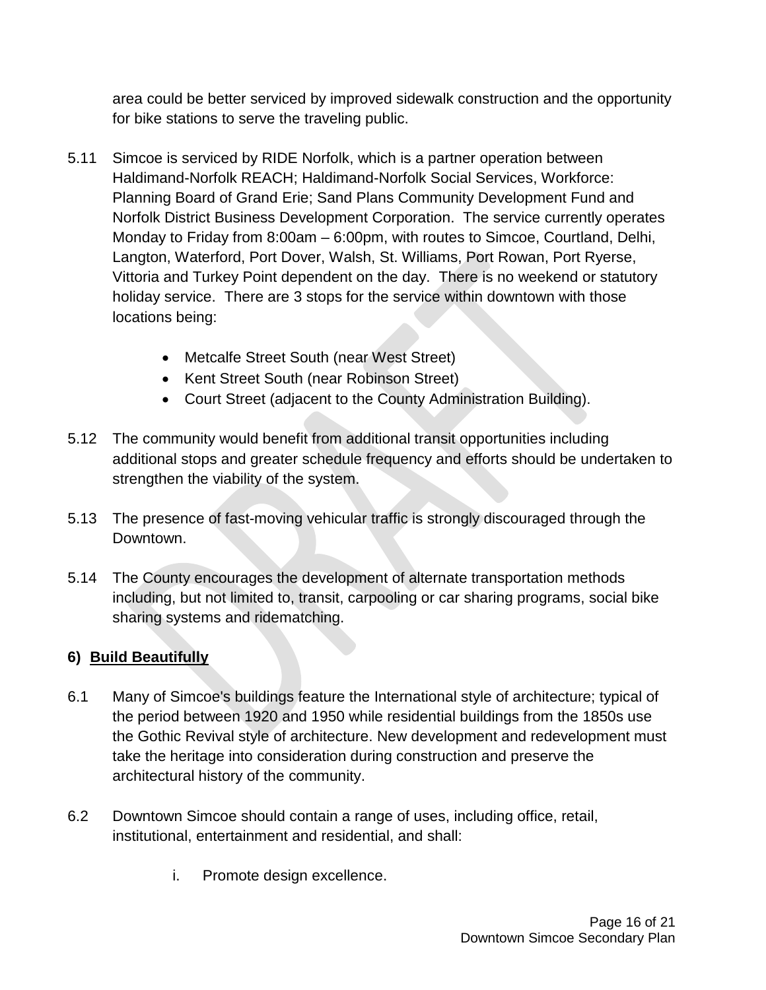area could be better serviced by improved sidewalk construction and the opportunity for bike stations to serve the traveling public.

- 5.11 Simcoe is serviced by RIDE Norfolk, which is a partner operation between Haldimand-Norfolk REACH; Haldimand-Norfolk Social Services, Workforce: Planning Board of Grand Erie; Sand Plans Community Development Fund and Norfolk District Business Development Corporation. The service currently operates Monday to Friday from 8:00am – 6:00pm, with routes to Simcoe, Courtland, Delhi, Langton, Waterford, Port Dover, Walsh, St. Williams, Port Rowan, Port Ryerse, Vittoria and Turkey Point dependent on the day. There is no weekend or statutory holiday service. There are 3 stops for the service within downtown with those locations being:
	- Metcalfe Street South (near West Street)
	- Kent Street South (near Robinson Street)
	- Court Street (adjacent to the County Administration Building).
- 5.12 The community would benefit from additional transit opportunities including additional stops and greater schedule frequency and efforts should be undertaken to strengthen the viability of the system.
- 5.13 The presence of fast-moving vehicular traffic is strongly discouraged through the Downtown.
- 5.14 The County encourages the development of alternate transportation methods including, but not limited to, transit, carpooling or car sharing programs, social bike sharing systems and ridematching.

## **6) Build Beautifully**

- 6.1 Many of Simcoe's buildings feature the International style of architecture; typical of the period between 1920 and 1950 while residential buildings from the 1850s use the Gothic Revival style of architecture. New development and redevelopment must take the heritage into consideration during construction and preserve the architectural history of the community.
- 6.2 Downtown Simcoe should contain a range of uses, including office, retail, institutional, entertainment and residential, and shall:
	- i. Promote design excellence.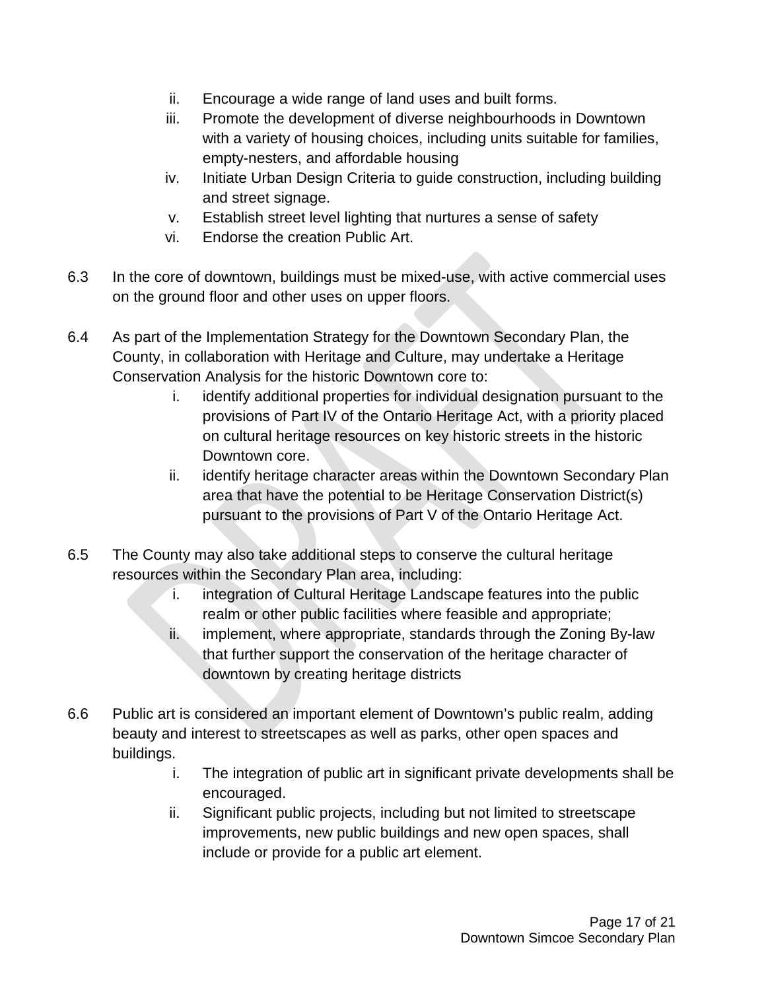- ii. Encourage a wide range of land uses and built forms.
- iii. Promote the development of diverse neighbourhoods in Downtown with a variety of housing choices, including units suitable for families, empty-nesters, and affordable housing
- iv. Initiate Urban Design Criteria to guide construction, including building and street signage.
- v. Establish street level lighting that nurtures a sense of safety
- vi. Endorse the creation Public Art.
- 6.3 In the core of downtown, buildings must be mixed-use, with active commercial uses on the ground floor and other uses on upper floors.
- 6.4 As part of the Implementation Strategy for the Downtown Secondary Plan, the County, in collaboration with Heritage and Culture, may undertake a Heritage Conservation Analysis for the historic Downtown core to:
	- i. identify additional properties for individual designation pursuant to the provisions of Part IV of the Ontario Heritage Act, with a priority placed on cultural heritage resources on key historic streets in the historic Downtown core.
	- ii. identify heritage character areas within the Downtown Secondary Plan area that have the potential to be Heritage Conservation District(s) pursuant to the provisions of Part V of the Ontario Heritage Act.
- 6.5 The County may also take additional steps to conserve the cultural heritage resources within the Secondary Plan area, including:
	- i. integration of Cultural Heritage Landscape features into the public realm or other public facilities where feasible and appropriate;
	- ii. implement, where appropriate, standards through the Zoning By-law that further support the conservation of the heritage character of downtown by creating heritage districts
- 6.6 Public art is considered an important element of Downtown's public realm, adding beauty and interest to streetscapes as well as parks, other open spaces and buildings.
	- i. The integration of public art in significant private developments shall be encouraged.
	- ii. Significant public projects, including but not limited to streetscape improvements, new public buildings and new open spaces, shall include or provide for a public art element.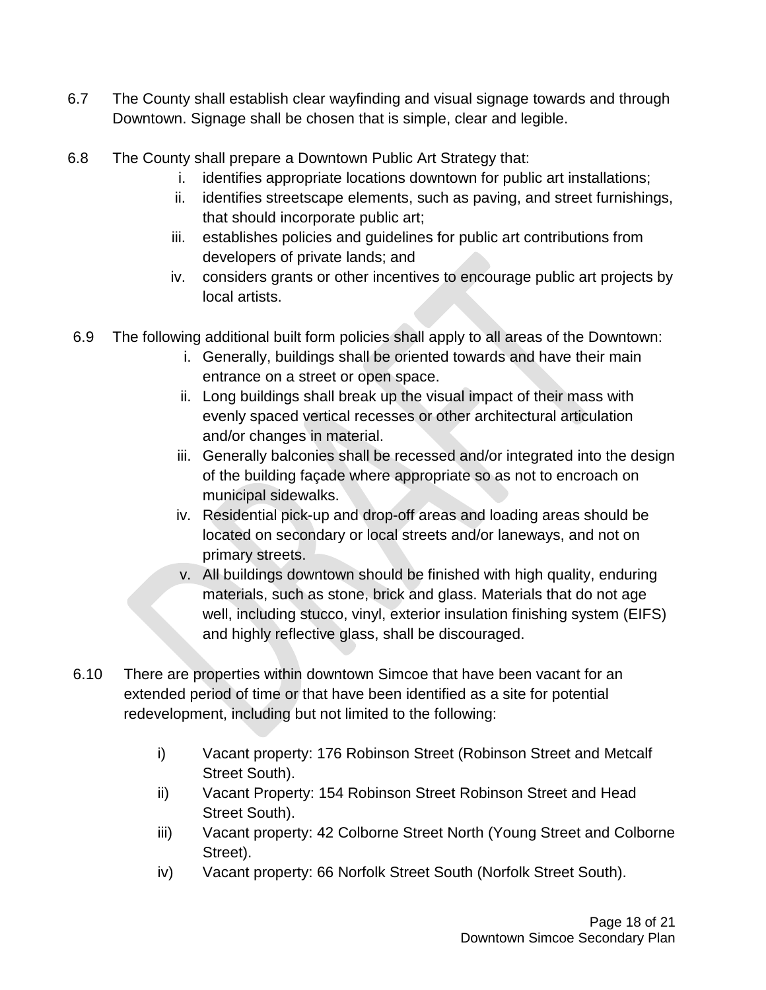- 6.7 The County shall establish clear wayfinding and visual signage towards and through Downtown. Signage shall be chosen that is simple, clear and legible.
- 6.8 The County shall prepare a Downtown Public Art Strategy that:
	- i. identifies appropriate locations downtown for public art installations;
	- ii. identifies streetscape elements, such as paving, and street furnishings, that should incorporate public art;
	- iii. establishes policies and guidelines for public art contributions from developers of private lands; and
	- iv. considers grants or other incentives to encourage public art projects by local artists.
- 6.9 The following additional built form policies shall apply to all areas of the Downtown:
	- i. Generally, buildings shall be oriented towards and have their main entrance on a street or open space.
	- ii. Long buildings shall break up the visual impact of their mass with evenly spaced vertical recesses or other architectural articulation and/or changes in material.
	- iii. Generally balconies shall be recessed and/or integrated into the design of the building façade where appropriate so as not to encroach on municipal sidewalks.
	- iv. Residential pick-up and drop-off areas and loading areas should be located on secondary or local streets and/or laneways, and not on primary streets.
	- v. All buildings downtown should be finished with high quality, enduring materials, such as stone, brick and glass. Materials that do not age well, including stucco, vinyl, exterior insulation finishing system (EIFS) and highly reflective glass, shall be discouraged.
- 6.10 There are properties within downtown Simcoe that have been vacant for an extended period of time or that have been identified as a site for potential redevelopment, including but not limited to the following:
	- i) Vacant property: 176 Robinson Street (Robinson Street and Metcalf Street South).
	- ii) Vacant Property: 154 Robinson Street Robinson Street and Head Street South).
	- iii) Vacant property: 42 Colborne Street North (Young Street and Colborne Street).
	- iv) Vacant property: 66 Norfolk Street South (Norfolk Street South).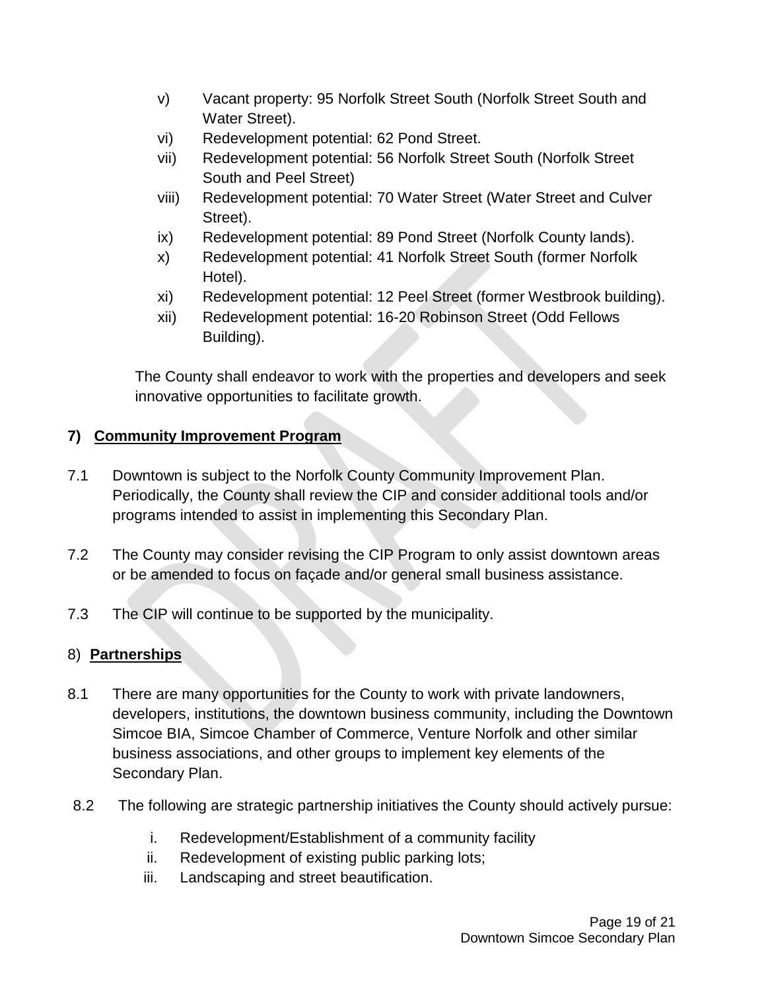- v) Vacant property: 95 Norfolk Street South (Norfolk Street South and Water Street).
- vi) Redevelopment potential: 62 Pond Street.
- vii) Redevelopment potential: 56 Norfolk Street South (Norfolk Street South and Peel Street)
- viii) Redevelopment potential: 70 Water Street (Water Street and Culver Street).
- ix) Redevelopment potential: 89 Pond Street (Norfolk County lands).
- x) Redevelopment potential: 41 Norfolk Street South (former Norfolk Hotel).
- xi) Redevelopment potential: 12 Peel Street (former Westbrook building).
- xii) Redevelopment potential: 16-20 Robinson Street (Odd Fellows Building).

The County shall endeavor to work with the properties and developers and seek innovative opportunities to facilitate growth.

# **7) Community Improvement Program**

- 7.1 Downtown is subject to the Norfolk County Community Improvement Plan. Periodically, the County shall review the CIP and consider additional tools and/or programs intended to assist in implementing this Secondary Plan.
- 7.2 The County may consider revising the CIP Program to only assist downtown areas or be amended to focus on façade and/or general small business assistance.
- 7.3 The CIP will continue to be supported by the municipality.

# 8) **Partnerships**

- 8.1 There are many opportunities for the County to work with private landowners, developers, institutions, the downtown business community, including the Downtown Simcoe BIA, Simcoe Chamber of Commerce, Venture Norfolk and other similar business associations, and other groups to implement key elements of the Secondary Plan.
- 8.2 The following are strategic partnership initiatives the County should actively pursue:
	- i. Redevelopment/Establishment of a community facility
	- ii. Redevelopment of existing public parking lots;
	- iii. Landscaping and street beautification.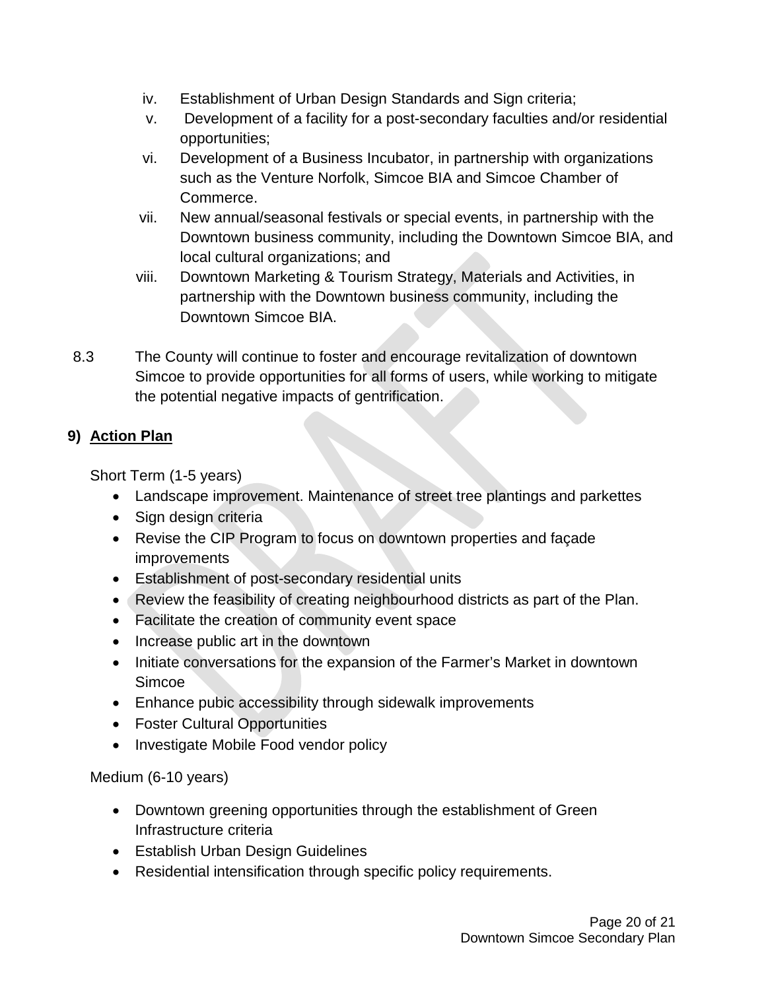- iv. Establishment of Urban Design Standards and Sign criteria;
- v. Development of a facility for a post-secondary faculties and/or residential opportunities;
- vi. Development of a Business Incubator, in partnership with organizations such as the Venture Norfolk, Simcoe BIA and Simcoe Chamber of Commerce.
- vii. New annual/seasonal festivals or special events, in partnership with the Downtown business community, including the Downtown Simcoe BIA, and local cultural organizations; and
- viii. Downtown Marketing & Tourism Strategy, Materials and Activities, in partnership with the Downtown business community, including the Downtown Simcoe BIA.
- 8.3 The County will continue to foster and encourage revitalization of downtown Simcoe to provide opportunities for all forms of users, while working to mitigate the potential negative impacts of gentrification.

# **9) Action Plan**

Short Term (1-5 years)

- Landscape improvement. Maintenance of street tree plantings and parkettes
- Sign design criteria
- Revise the CIP Program to focus on downtown properties and façade improvements
- Establishment of post-secondary residential units
- Review the feasibility of creating neighbourhood districts as part of the Plan.
- Facilitate the creation of community event space
- Increase public art in the downtown
- Initiate conversations for the expansion of the Farmer's Market in downtown Simcoe
- Enhance pubic accessibility through sidewalk improvements
- Foster Cultural Opportunities
- Investigate Mobile Food vendor policy

Medium (6-10 years)

- Downtown greening opportunities through the establishment of Green Infrastructure criteria
- Establish Urban Design Guidelines
- Residential intensification through specific policy requirements.